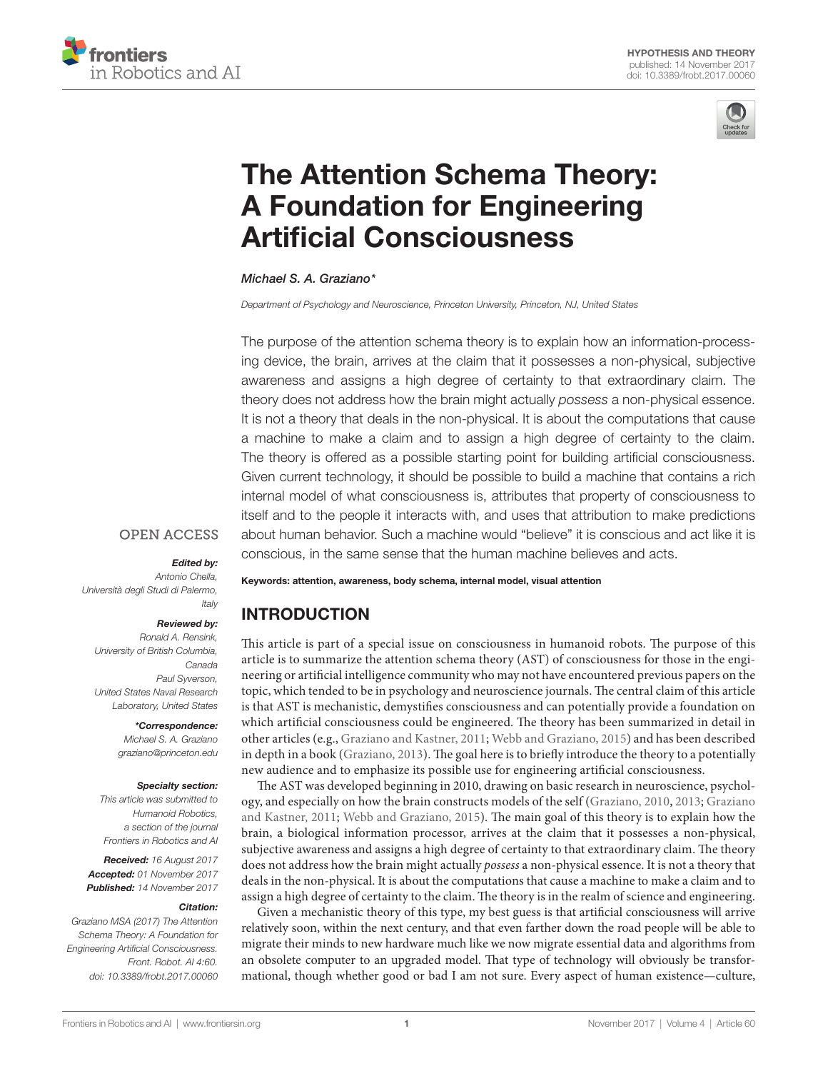



# [The Attention Schema Theory:](http://www.frontiersin.org/Journal/10.3389/frobt.2017.00060/full)  [A Foundation for Engineering](http://www.frontiersin.org/Journal/10.3389/frobt.2017.00060/full)  [Artificial Consciousness](http://www.frontiersin.org/Journal/10.3389/frobt.2017.00060/full)

#### *[Michael S. A. Graziano\\*](http://loop.frontiersin.org/people/44388)*

*Department of Psychology and Neuroscience, Princeton University, Princeton, NJ, United States*

The purpose of the attention schema theory is to explain how an information-processing device, the brain, arrives at the claim that it possesses a non-physical, subjective awareness and assigns a high degree of certainty to that extraordinary claim. The theory does not address how the brain might actually *possess* a non-physical essence. It is not a theory that deals in the non-physical. It is about the computations that cause a machine to make a claim and to assign a high degree of certainty to the claim. The theory is offered as a possible starting point for building artificial consciousness. Given current technology, it should be possible to build a machine that contains a rich internal model of what consciousness is, attributes that property of consciousness to itself and to the people it interacts with, and uses that attribution to make predictions about human behavior. Such a machine would "believe" it is conscious and act like it is conscious, in the same sense that the human machine believes and acts.

# **OPEN ACCESS**

#### *Edited by:*

*Antonio Chella, Università degli Studi di Palermo, Italy*

#### *Reviewed by:*

*Ronald A. Rensink, University of British Columbia, Canada Paul Syverson, United States Naval Research Laboratory, United States*

#### *\*Correspondence:*

*Michael S. A. Graziano [graziano@princeton.edu](mailto:graziano@princeton.edu)*

#### *Specialty section:*

*This article was submitted to Humanoid Robotics, a section of the journal Frontiers in Robotics and AI*

*Received: 16 August 2017 Accepted: 01 November 2017 Published: 14 November 2017*

#### *Citation:*

*Graziano MSA (2017) The Attention Schema Theory: A Foundation for Engineering Artificial Consciousness. Front. Robot. AI 4:60. doi: [10.3389/frobt.2017.00060](https://doi.org/10.3389/frobt.2017.00060)* Keywords: attention, awareness, body schema, internal model, visual attention

# INTRODUCTION

This article is part of a special issue on consciousness in humanoid robots. The purpose of this article is to summarize the attention schema theory (AST) of consciousness for those in the engineering or artificial intelligence community who may not have encountered previous papers on the topic, which tended to be in psychology and neuroscience journals. The central claim of this article is that AST is mechanistic, demystifies consciousness and can potentially provide a foundation on which artificial consciousness could be engineered. The theory has been summarized in detail in other articles (e.g., [Graziano and Kastner, 2011;](#page-7-0) [Webb and Graziano, 2015](#page-8-0)) and has been described in depth in a book ([Graziano, 2013](#page-7-1)). The goal here is to briefly introduce the theory to a potentially new audience and to emphasize its possible use for engineering artificial consciousness.

The AST was developed beginning in 2010, drawing on basic research in neuroscience, psychology, and especially on how the brain constructs models of the self ([Graziano, 2010,](#page-7-2) [2013](#page-7-1); [Graziano](#page-7-0)  [and Kastner, 2011](#page-7-0); [Webb and Graziano, 2015\)](#page-8-0). The main goal of this theory is to explain how the brain, a biological information processor, arrives at the claim that it possesses a non-physical, subjective awareness and assigns a high degree of certainty to that extraordinary claim. The theory does not address how the brain might actually *possess* a non-physical essence. It is not a theory that deals in the non-physical. It is about the computations that cause a machine to make a claim and to assign a high degree of certainty to the claim. The theory is in the realm of science and engineering.

Given a mechanistic theory of this type, my best guess is that artificial consciousness will arrive relatively soon, within the next century, and that even farther down the road people will be able to migrate their minds to new hardware much like we now migrate essential data and algorithms from an obsolete computer to an upgraded model. That type of technology will obviously be transformational, though whether good or bad I am not sure. Every aspect of human existence—culture,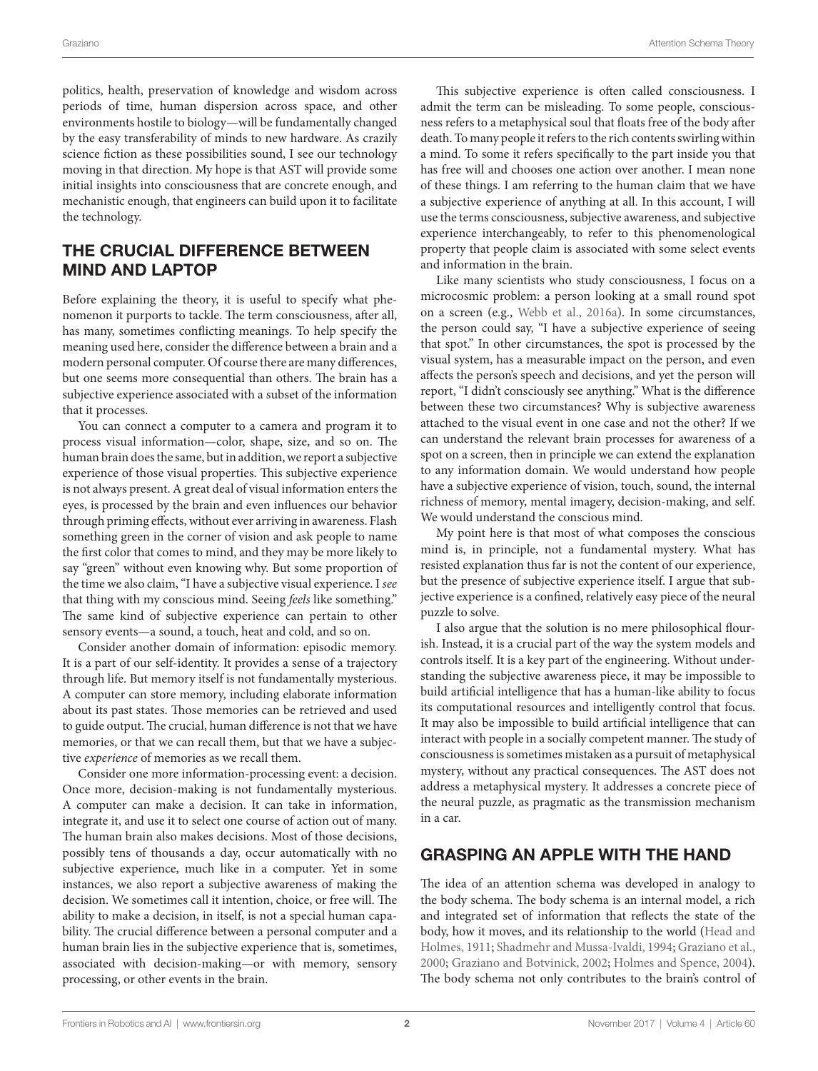politics, health, preservation of knowledge and wisdom across periods of time, human dispersion across space, and other environments hostile to biology—will be fundamentally changed by the easy transferability of minds to new hardware. As crazily science fiction as these possibilities sound, I see our technology moving in that direction. My hope is that AST will provide some initial insights into consciousness that are concrete enough, and mechanistic enough, that engineers can build upon it to facilitate the technology.

# THE CRUCIAL DIFFERENCE BETWEEN MIND AND LAPTOP

Before explaining the theory, it is useful to specify what phenomenon it purports to tackle. The term consciousness, after all, has many, sometimes conflicting meanings. To help specify the meaning used here, consider the difference between a brain and a modern personal computer. Of course there are many differences, but one seems more consequential than others. The brain has a subjective experience associated with a subset of the information that it processes.

You can connect a computer to a camera and program it to process visual information—color, shape, size, and so on. The human brain does the same, but in addition, we report a subjective experience of those visual properties. This subjective experience is not always present. A great deal of visual information enters the eyes, is processed by the brain and even influences our behavior through priming effects, without ever arriving in awareness. Flash something green in the corner of vision and ask people to name the first color that comes to mind, and they may be more likely to say "green" without even knowing why. But some proportion of the time we also claim, "I have a subjective visual experience. I *see* that thing with my conscious mind. Seeing *feels* like something." The same kind of subjective experience can pertain to other sensory events—a sound, a touch, heat and cold, and so on.

Consider another domain of information: episodic memory. It is a part of our self-identity. It provides a sense of a trajectory through life. But memory itself is not fundamentally mysterious. A computer can store memory, including elaborate information about its past states. Those memories can be retrieved and used to guide output. The crucial, human difference is not that we have memories, or that we can recall them, but that we have a subjective *experience* of memories as we recall them.

Consider one more information-processing event: a decision. Once more, decision-making is not fundamentally mysterious. A computer can make a decision. It can take in information, integrate it, and use it to select one course of action out of many. The human brain also makes decisions. Most of those decisions, possibly tens of thousands a day, occur automatically with no subjective experience, much like in a computer. Yet in some instances, we also report a subjective awareness of making the decision. We sometimes call it intention, choice, or free will. The ability to make a decision, in itself, is not a special human capability. The crucial difference between a personal computer and a human brain lies in the subjective experience that is, sometimes, associated with decision-making—or with memory, sensory processing, or other events in the brain.

This subjective experience is often called consciousness. I admit the term can be misleading. To some people, consciousness refers to a metaphysical soul that floats free of the body after death. To many people it refers to the rich contents swirling within a mind. To some it refers specifically to the part inside you that has free will and chooses one action over another. I mean none of these things. I am referring to the human claim that we have a subjective experience of anything at all. In this account, I will use the terms consciousness, subjective awareness, and subjective experience interchangeably, to refer to this phenomenological property that people claim is associated with some select events and information in the brain.

Like many scientists who study consciousness, I focus on a microcosmic problem: a person looking at a small round spot on a screen (e.g., [Webb et al., 2016a](#page-8-1)). In some circumstances, the person could say, "I have a subjective experience of seeing that spot." In other circumstances, the spot is processed by the visual system, has a measurable impact on the person, and even affects the person's speech and decisions, and yet the person will report, "I didn't consciously see anything." What is the difference between these two circumstances? Why is subjective awareness attached to the visual event in one case and not the other? If we can understand the relevant brain processes for awareness of a spot on a screen, then in principle we can extend the explanation to any information domain. We would understand how people have a subjective experience of vision, touch, sound, the internal richness of memory, mental imagery, decision-making, and self. We would understand the conscious mind.

My point here is that most of what composes the conscious mind is, in principle, not a fundamental mystery. What has resisted explanation thus far is not the content of our experience, but the presence of subjective experience itself. I argue that subjective experience is a confined, relatively easy piece of the neural puzzle to solve.

I also argue that the solution is no mere philosophical flourish. Instead, it is a crucial part of the way the system models and controls itself. It is a key part of the engineering. Without understanding the subjective awareness piece, it may be impossible to build artificial intelligence that has a human-like ability to focus its computational resources and intelligently control that focus. It may also be impossible to build artificial intelligence that can interact with people in a socially competent manner. The study of consciousness is sometimes mistaken as a pursuit of metaphysical mystery, without any practical consequences. The AST does not address a metaphysical mystery. It addresses a concrete piece of the neural puzzle, as pragmatic as the transmission mechanism in a car.

## GRASPING AN APPLE WITH THE HAND

The idea of an attention schema was developed in analogy to the body schema. The body schema is an internal model, a rich and integrated set of information that reflects the state of the body, how it moves, and its relationship to the world ([Head and](#page-7-3)  [Holmes, 1911;](#page-7-3) [Shadmehr and Mussa-Ivaldi, 1994;](#page-8-2) [Graziano et al.,](#page-7-4)  [2000](#page-7-4); [Graziano and Botvinick, 2002](#page-7-5); [Holmes and Spence, 2004](#page-7-6)). The body schema not only contributes to the brain's control of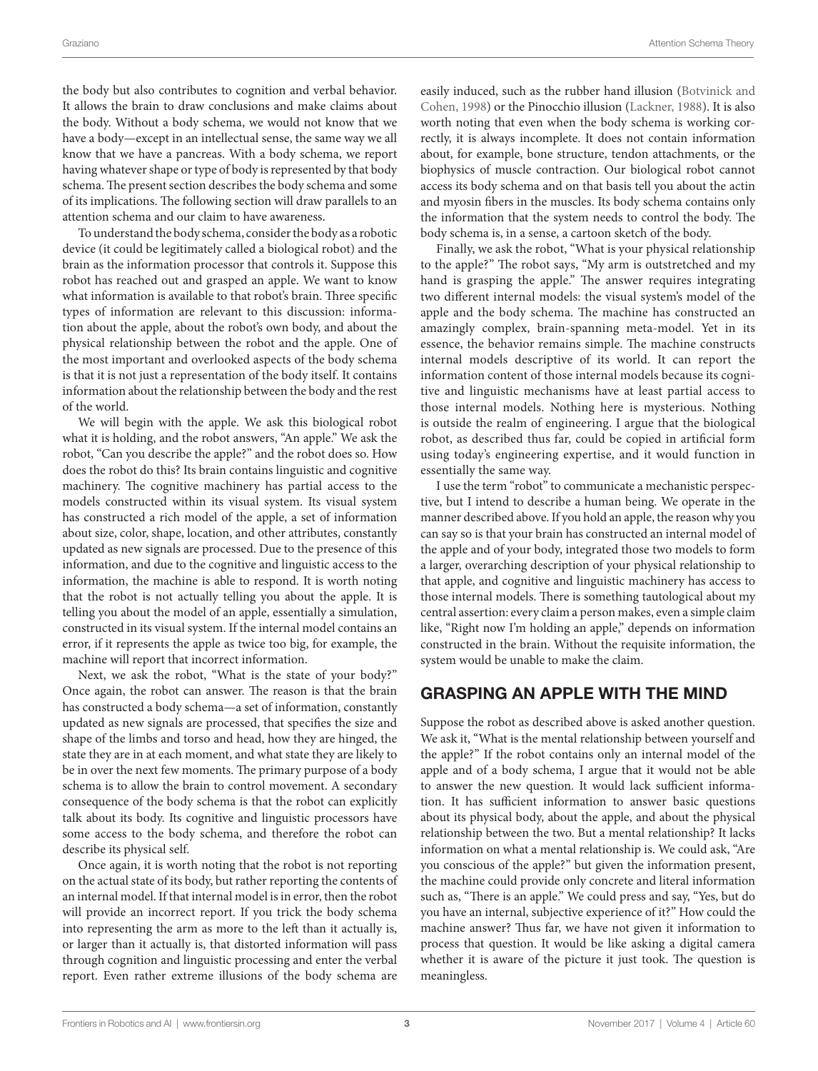the body but also contributes to cognition and verbal behavior. It allows the brain to draw conclusions and make claims about the body. Without a body schema, we would not know that we have a body—except in an intellectual sense, the same way we all know that we have a pancreas. With a body schema, we report having whatever shape or type of body is represented by that body schema. The present section describes the body schema and some of its implications. The following section will draw parallels to an attention schema and our claim to have awareness.

To understand the body schema, consider the body as a robotic device (it could be legitimately called a biological robot) and the brain as the information processor that controls it. Suppose this robot has reached out and grasped an apple. We want to know what information is available to that robot's brain. Three specific types of information are relevant to this discussion: information about the apple, about the robot's own body, and about the physical relationship between the robot and the apple. One of the most important and overlooked aspects of the body schema is that it is not just a representation of the body itself. It contains information about the relationship between the body and the rest of the world.

We will begin with the apple. We ask this biological robot what it is holding, and the robot answers, "An apple." We ask the robot, "Can you describe the apple?" and the robot does so. How does the robot do this? Its brain contains linguistic and cognitive machinery. The cognitive machinery has partial access to the models constructed within its visual system. Its visual system has constructed a rich model of the apple, a set of information about size, color, shape, location, and other attributes, constantly updated as new signals are processed. Due to the presence of this information, and due to the cognitive and linguistic access to the information, the machine is able to respond. It is worth noting that the robot is not actually telling you about the apple. It is telling you about the model of an apple, essentially a simulation, constructed in its visual system. If the internal model contains an error, if it represents the apple as twice too big, for example, the machine will report that incorrect information.

Next, we ask the robot, "What is the state of your body?" Once again, the robot can answer. The reason is that the brain has constructed a body schema—a set of information, constantly updated as new signals are processed, that specifies the size and shape of the limbs and torso and head, how they are hinged, the state they are in at each moment, and what state they are likely to be in over the next few moments. The primary purpose of a body schema is to allow the brain to control movement. A secondary consequence of the body schema is that the robot can explicitly talk about its body. Its cognitive and linguistic processors have some access to the body schema, and therefore the robot can describe its physical self.

Once again, it is worth noting that the robot is not reporting on the actual state of its body, but rather reporting the contents of an internal model. If that internal model is in error, then the robot will provide an incorrect report. If you trick the body schema into representing the arm as more to the left than it actually is, or larger than it actually is, that distorted information will pass through cognition and linguistic processing and enter the verbal report. Even rather extreme illusions of the body schema are

easily induced, such as the rubber hand illusion [\(Botvinick and](#page-7-7)  [Cohen, 1998](#page-7-7)) or the Pinocchio illusion [\(Lackner, 1988](#page-7-8)). It is also worth noting that even when the body schema is working correctly, it is always incomplete. It does not contain information about, for example, bone structure, tendon attachments, or the biophysics of muscle contraction. Our biological robot cannot access its body schema and on that basis tell you about the actin and myosin fibers in the muscles. Its body schema contains only the information that the system needs to control the body. The body schema is, in a sense, a cartoon sketch of the body.

Finally, we ask the robot, "What is your physical relationship to the apple?" The robot says, "My arm is outstretched and my hand is grasping the apple." The answer requires integrating two different internal models: the visual system's model of the apple and the body schema. The machine has constructed an amazingly complex, brain-spanning meta-model. Yet in its essence, the behavior remains simple. The machine constructs internal models descriptive of its world. It can report the information content of those internal models because its cognitive and linguistic mechanisms have at least partial access to those internal models. Nothing here is mysterious. Nothing is outside the realm of engineering. I argue that the biological robot, as described thus far, could be copied in artificial form using today's engineering expertise, and it would function in essentially the same way.

I use the term "robot" to communicate a mechanistic perspective, but I intend to describe a human being. We operate in the manner described above. If you hold an apple, the reason why you can say so is that your brain has constructed an internal model of the apple and of your body, integrated those two models to form a larger, overarching description of your physical relationship to that apple, and cognitive and linguistic machinery has access to those internal models. There is something tautological about my central assertion: every claim a person makes, even a simple claim like, "Right now I'm holding an apple," depends on information constructed in the brain. Without the requisite information, the system would be unable to make the claim.

## GRASPING AN APPLE WITH THE MIND

Suppose the robot as described above is asked another question. We ask it, "What is the mental relationship between yourself and the apple?" If the robot contains only an internal model of the apple and of a body schema, I argue that it would not be able to answer the new question. It would lack sufficient information. It has sufficient information to answer basic questions about its physical body, about the apple, and about the physical relationship between the two. But a mental relationship? It lacks information on what a mental relationship is. We could ask, "Are you conscious of the apple?" but given the information present, the machine could provide only concrete and literal information such as, "There is an apple." We could press and say, "Yes, but do you have an internal, subjective experience of it?" How could the machine answer? Thus far, we have not given it information to process that question. It would be like asking a digital camera whether it is aware of the picture it just took. The question is meaningless.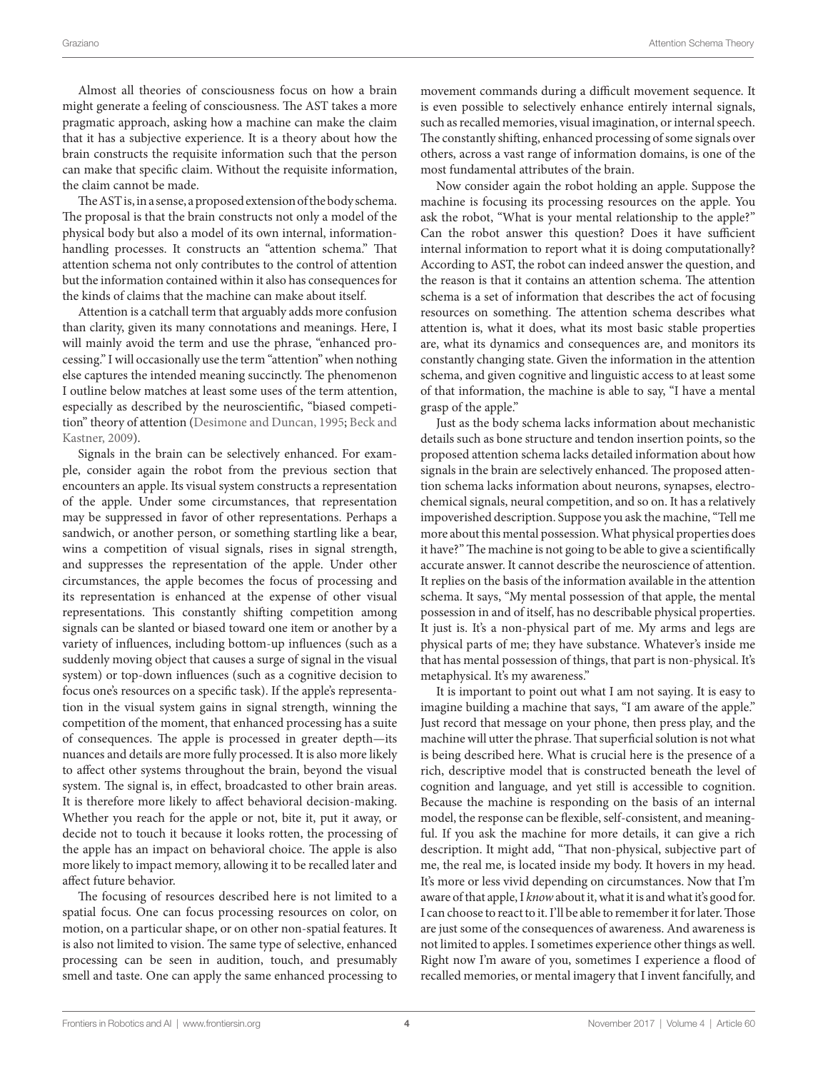Almost all theories of consciousness focus on how a brain might generate a feeling of consciousness. The AST takes a more pragmatic approach, asking how a machine can make the claim that it has a subjective experience. It is a theory about how the brain constructs the requisite information such that the person can make that specific claim. Without the requisite information, the claim cannot be made.

The AST is, in a sense, a proposed extension of the body schema. The proposal is that the brain constructs not only a model of the physical body but also a model of its own internal, informationhandling processes. It constructs an "attention schema." That attention schema not only contributes to the control of attention but the information contained within it also has consequences for the kinds of claims that the machine can make about itself.

Attention is a catchall term that arguably adds more confusion than clarity, given its many connotations and meanings. Here, I will mainly avoid the term and use the phrase, "enhanced processing." I will occasionally use the term "attention" when nothing else captures the intended meaning succinctly. The phenomenon I outline below matches at least some uses of the term attention, especially as described by the neuroscientific, "biased competition" theory of attention [\(Desimone and Duncan, 1995;](#page-7-9) [Beck and](#page-7-10) [Kastner, 2009\)](#page-7-10).

Signals in the brain can be selectively enhanced. For example, consider again the robot from the previous section that encounters an apple. Its visual system constructs a representation of the apple. Under some circumstances, that representation may be suppressed in favor of other representations. Perhaps a sandwich, or another person, or something startling like a bear, wins a competition of visual signals, rises in signal strength, and suppresses the representation of the apple. Under other circumstances, the apple becomes the focus of processing and its representation is enhanced at the expense of other visual representations. This constantly shifting competition among signals can be slanted or biased toward one item or another by a variety of influences, including bottom-up influences (such as a suddenly moving object that causes a surge of signal in the visual system) or top-down influences (such as a cognitive decision to focus one's resources on a specific task). If the apple's representation in the visual system gains in signal strength, winning the competition of the moment, that enhanced processing has a suite of consequences. The apple is processed in greater depth—its nuances and details are more fully processed. It is also more likely to affect other systems throughout the brain, beyond the visual system. The signal is, in effect, broadcasted to other brain areas. It is therefore more likely to affect behavioral decision-making. Whether you reach for the apple or not, bite it, put it away, or decide not to touch it because it looks rotten, the processing of the apple has an impact on behavioral choice. The apple is also more likely to impact memory, allowing it to be recalled later and affect future behavior.

The focusing of resources described here is not limited to a spatial focus. One can focus processing resources on color, on motion, on a particular shape, or on other non-spatial features. It is also not limited to vision. The same type of selective, enhanced processing can be seen in audition, touch, and presumably smell and taste. One can apply the same enhanced processing to

movement commands during a difficult movement sequence. It is even possible to selectively enhance entirely internal signals, such as recalled memories, visual imagination, or internal speech. The constantly shifting, enhanced processing of some signals over others, across a vast range of information domains, is one of the most fundamental attributes of the brain.

Now consider again the robot holding an apple. Suppose the machine is focusing its processing resources on the apple. You ask the robot, "What is your mental relationship to the apple?" Can the robot answer this question? Does it have sufficient internal information to report what it is doing computationally? According to AST, the robot can indeed answer the question, and the reason is that it contains an attention schema. The attention schema is a set of information that describes the act of focusing resources on something. The attention schema describes what attention is, what it does, what its most basic stable properties are, what its dynamics and consequences are, and monitors its constantly changing state. Given the information in the attention schema, and given cognitive and linguistic access to at least some of that information, the machine is able to say, "I have a mental grasp of the apple."

Just as the body schema lacks information about mechanistic details such as bone structure and tendon insertion points, so the proposed attention schema lacks detailed information about how signals in the brain are selectively enhanced. The proposed attention schema lacks information about neurons, synapses, electrochemical signals, neural competition, and so on. It has a relatively impoverished description. Suppose you ask the machine, "Tell me more about this mental possession. What physical properties does it have?" The machine is not going to be able to give a scientifically accurate answer. It cannot describe the neuroscience of attention. It replies on the basis of the information available in the attention schema. It says, "My mental possession of that apple, the mental possession in and of itself, has no describable physical properties. It just is. It's a non-physical part of me. My arms and legs are physical parts of me; they have substance. Whatever's inside me that has mental possession of things, that part is non-physical. It's metaphysical. It's my awareness."

It is important to point out what I am not saying. It is easy to imagine building a machine that says, "I am aware of the apple." Just record that message on your phone, then press play, and the machine will utter the phrase. That superficial solution is not what is being described here. What is crucial here is the presence of a rich, descriptive model that is constructed beneath the level of cognition and language, and yet still is accessible to cognition. Because the machine is responding on the basis of an internal model, the response can be flexible, self-consistent, and meaningful. If you ask the machine for more details, it can give a rich description. It might add, "That non-physical, subjective part of me, the real me, is located inside my body. It hovers in my head. It's more or less vivid depending on circumstances. Now that I'm aware of that apple, I *know* about it, what it is and what it's good for. I can choose to react to it. I'll be able to remember it for later. Those are just some of the consequences of awareness. And awareness is not limited to apples. I sometimes experience other things as well. Right now I'm aware of you, sometimes I experience a flood of recalled memories, or mental imagery that I invent fancifully, and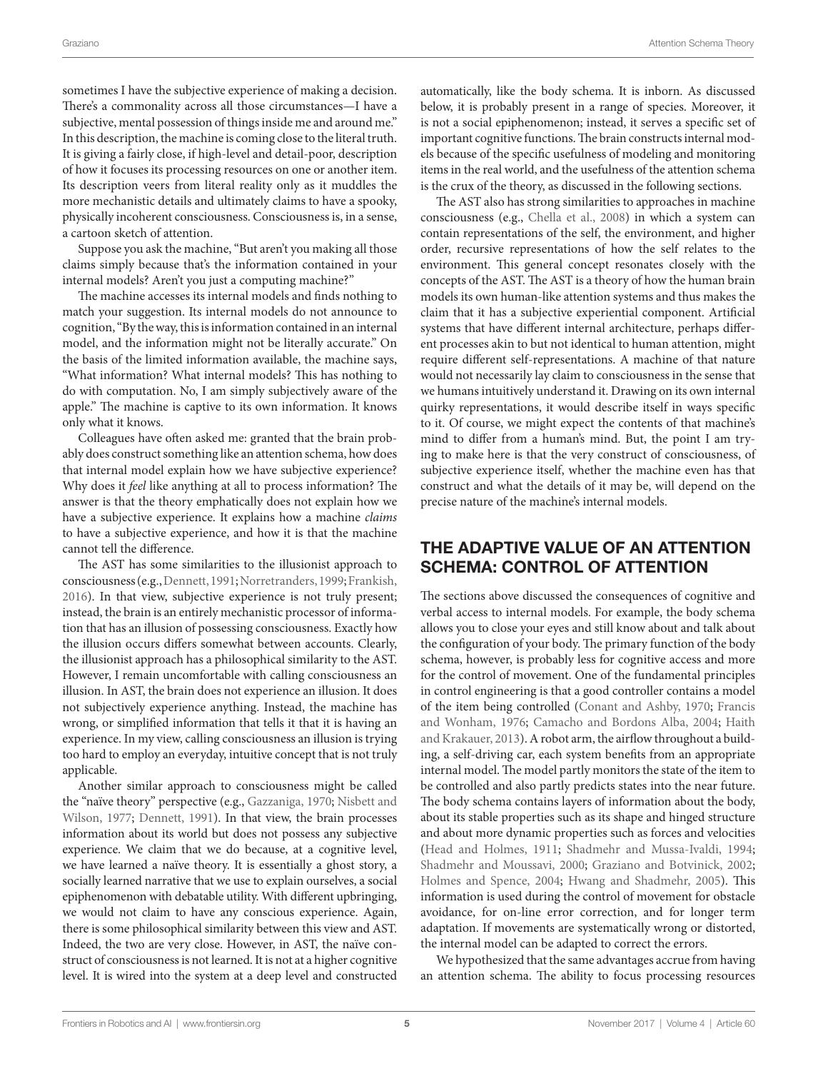sometimes I have the subjective experience of making a decision. There's a commonality across all those circumstances—I have a subjective, mental possession of things inside me and around me." In this description, the machine is coming close to the literal truth. It is giving a fairly close, if high-level and detail-poor, description of how it focuses its processing resources on one or another item. Its description veers from literal reality only as it muddles the more mechanistic details and ultimately claims to have a spooky, physically incoherent consciousness. Consciousness is, in a sense, a cartoon sketch of attention.

Suppose you ask the machine, "But aren't you making all those claims simply because that's the information contained in your internal models? Aren't you just a computing machine?"

The machine accesses its internal models and finds nothing to match your suggestion. Its internal models do not announce to cognition, "By the way, this is information contained in an internal model, and the information might not be literally accurate." On the basis of the limited information available, the machine says, "What information? What internal models? This has nothing to do with computation. No, I am simply subjectively aware of the apple." The machine is captive to its own information. It knows only what it knows.

Colleagues have often asked me: granted that the brain probably does construct something like an attention schema, how does that internal model explain how we have subjective experience? Why does it *feel* like anything at all to process information? The answer is that the theory emphatically does not explain how we have a subjective experience. It explains how a machine *claims* to have a subjective experience, and how it is that the machine cannot tell the difference.

The AST has some similarities to the illusionist approach to consciousness (e.g., [Dennett, 1991](#page-7-11); [Norretranders, 1999](#page-8-3); [Frankish,](#page-7-12) [2016\)](#page-7-12). In that view, subjective experience is not truly present; instead, the brain is an entirely mechanistic processor of information that has an illusion of possessing consciousness. Exactly how the illusion occurs differs somewhat between accounts. Clearly, the illusionist approach has a philosophical similarity to the AST. However, I remain uncomfortable with calling consciousness an illusion. In AST, the brain does not experience an illusion. It does not subjectively experience anything. Instead, the machine has wrong, or simplified information that tells it that it is having an experience. In my view, calling consciousness an illusion is trying too hard to employ an everyday, intuitive concept that is not truly applicable.

Another similar approach to consciousness might be called the "naïve theory" perspective (e.g., [Gazzaniga, 1970](#page-7-13); [Nisbett and](#page-7-14) [Wilson, 1977;](#page-7-14) [Dennett, 1991](#page-7-11)). In that view, the brain processes information about its world but does not possess any subjective experience. We claim that we do because, at a cognitive level, we have learned a naïve theory. It is essentially a ghost story, a socially learned narrative that we use to explain ourselves, a social epiphenomenon with debatable utility. With different upbringing, we would not claim to have any conscious experience. Again, there is some philosophical similarity between this view and AST. Indeed, the two are very close. However, in AST, the naïve construct of consciousness is not learned. It is not at a higher cognitive level. It is wired into the system at a deep level and constructed

automatically, like the body schema. It is inborn. As discussed below, it is probably present in a range of species. Moreover, it is not a social epiphenomenon; instead, it serves a specific set of important cognitive functions. The brain constructs internal models because of the specific usefulness of modeling and monitoring items in the real world, and the usefulness of the attention schema is the crux of the theory, as discussed in the following sections.

The AST also has strong similarities to approaches in machine consciousness (e.g., [Chella et al., 2008](#page-7-15)) in which a system can contain representations of the self, the environment, and higher order, recursive representations of how the self relates to the environment. This general concept resonates closely with the concepts of the AST. The AST is a theory of how the human brain models its own human-like attention systems and thus makes the claim that it has a subjective experiential component. Artificial systems that have different internal architecture, perhaps different processes akin to but not identical to human attention, might require different self-representations. A machine of that nature would not necessarily lay claim to consciousness in the sense that we humans intuitively understand it. Drawing on its own internal quirky representations, it would describe itself in ways specific to it. Of course, we might expect the contents of that machine's mind to differ from a human's mind. But, the point I am trying to make here is that the very construct of consciousness, of subjective experience itself, whether the machine even has that construct and what the details of it may be, will depend on the precise nature of the machine's internal models.

# THE ADAPTIVE VALUE OF AN ATTENTION SCHEMA: CONTROL OF ATTENTION

The sections above discussed the consequences of cognitive and verbal access to internal models. For example, the body schema allows you to close your eyes and still know about and talk about the configuration of your body. The primary function of the body schema, however, is probably less for cognitive access and more for the control of movement. One of the fundamental principles in control engineering is that a good controller contains a model of the item being controlled [\(Conant and Ashby, 1970;](#page-7-16) [Francis](#page-7-17)  [and Wonham, 1976;](#page-7-17) [Camacho and Bordons Alba, 2004;](#page-7-18) [Haith](#page-7-19)  [and Krakauer, 2013\)](#page-7-19). A robot arm, the airflow throughout a building, a self-driving car, each system benefits from an appropriate internal model. The model partly monitors the state of the item to be controlled and also partly predicts states into the near future. The body schema contains layers of information about the body, about its stable properties such as its shape and hinged structure and about more dynamic properties such as forces and velocities [\(Head and Holmes, 1911](#page-7-3); [Shadmehr and Mussa-Ivaldi, 1994;](#page-8-2) [Shadmehr and Moussavi, 2000;](#page-8-4) [Graziano and Botvinick, 2002;](#page-7-5) [Holmes and Spence, 2004;](#page-7-6) [Hwang and Shadmehr, 2005\)](#page-7-20). This information is used during the control of movement for obstacle avoidance, for on-line error correction, and for longer term adaptation. If movements are systematically wrong or distorted, the internal model can be adapted to correct the errors.

We hypothesized that the same advantages accrue from having an attention schema. The ability to focus processing resources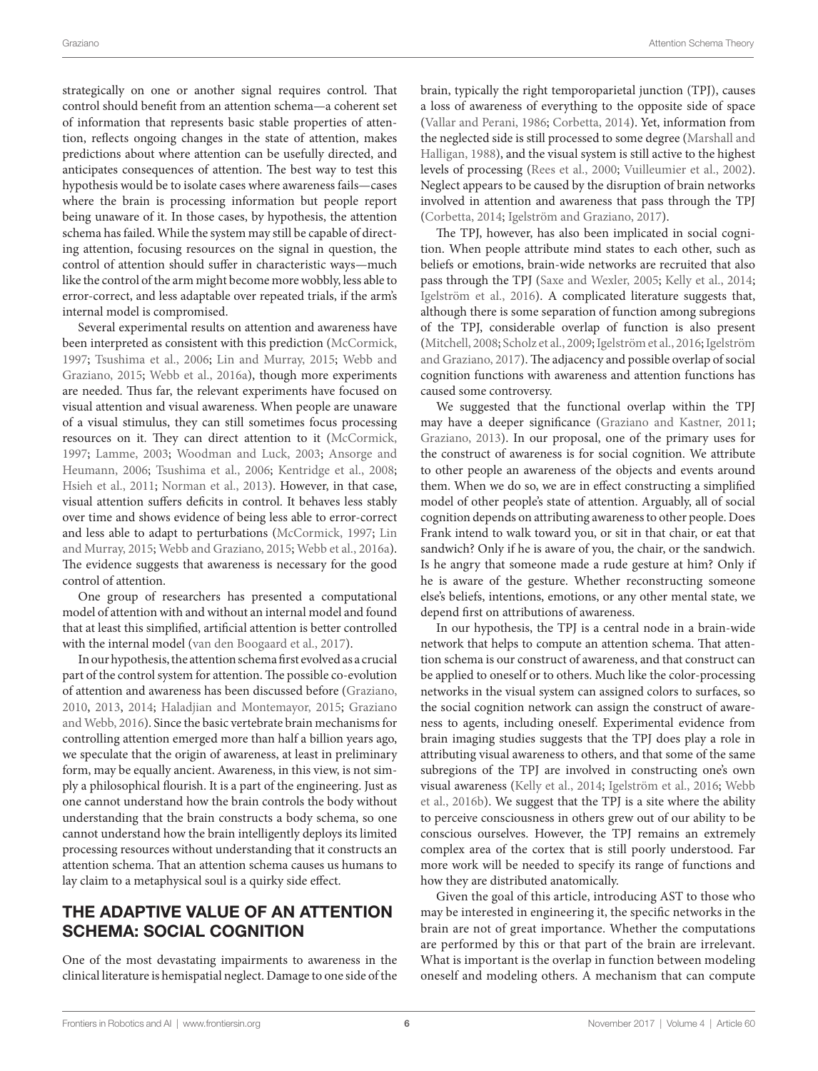strategically on one or another signal requires control. That control should benefit from an attention schema—a coherent set of information that represents basic stable properties of attention, reflects ongoing changes in the state of attention, makes predictions about where attention can be usefully directed, and anticipates consequences of attention. The best way to test this hypothesis would be to isolate cases where awareness fails—cases where the brain is processing information but people report being unaware of it. In those cases, by hypothesis, the attention schema has failed. While the system may still be capable of directing attention, focusing resources on the signal in question, the control of attention should suffer in characteristic ways—much like the control of the arm might become more wobbly, less able to error-correct, and less adaptable over repeated trials, if the arm's internal model is compromised.

Several experimental results on attention and awareness have been interpreted as consistent with this prediction ([McCormick,](#page-7-21) [1997;](#page-7-21) [Tsushima et al., 2006](#page-8-5); [Lin and Murray, 2015;](#page-7-22) [Webb and](#page-8-0) [Graziano, 2015;](#page-8-0) [Webb et al., 2016a](#page-8-1)), though more experiments are needed. Thus far, the relevant experiments have focused on visual attention and visual awareness. When people are unaware of a visual stimulus, they can still sometimes focus processing resources on it. They can direct attention to it ([McCormick,](#page-7-21) [1997;](#page-7-21) [Lamme, 2003;](#page-7-23) [Woodman and Luck, 2003](#page-8-6); [Ansorge and](#page-7-24) [Heumann, 2006;](#page-7-24) [Tsushima et al., 2006;](#page-8-5) [Kentridge et al., 2008;](#page-7-25) [Hsieh et al., 2011;](#page-7-26) [Norman et al., 2013](#page-7-27)). However, in that case, visual attention suffers deficits in control. It behaves less stably over time and shows evidence of being less able to error-correct and less able to adapt to perturbations [\(McCormick, 1997;](#page-7-21) [Lin](#page-7-22) [and Murray, 2015;](#page-7-22) [Webb and Graziano, 2015](#page-8-0); [Webb et al., 2016a\)](#page-8-1). The evidence suggests that awareness is necessary for the good control of attention.

One group of researchers has presented a computational model of attention with and without an internal model and found that at least this simplified, artificial attention is better controlled with the internal model [\(van den Boogaard et al., 2017\)](#page-8-7).

In our hypothesis, the attention schema first evolved as a crucial part of the control system for attention. The possible co-evolution of attention and awareness has been discussed before [\(Graziano,](#page-7-2) [2010,](#page-7-2) [2013,](#page-7-1) [2014;](#page-7-28) [Haladjian and Montemayor, 2015](#page-7-29); [Graziano](#page-7-30) [and Webb, 2016\)](#page-7-30). Since the basic vertebrate brain mechanisms for controlling attention emerged more than half a billion years ago, we speculate that the origin of awareness, at least in preliminary form, may be equally ancient. Awareness, in this view, is not simply a philosophical flourish. It is a part of the engineering. Just as one cannot understand how the brain controls the body without understanding that the brain constructs a body schema, so one cannot understand how the brain intelligently deploys its limited processing resources without understanding that it constructs an attention schema. That an attention schema causes us humans to lay claim to a metaphysical soul is a quirky side effect.

# THE ADAPTIVE VALUE OF AN ATTENTION SCHEMA: SOCIAL COGNITION

One of the most devastating impairments to awareness in the clinical literature is hemispatial neglect. Damage to one side of the brain, typically the right temporoparietal junction (TPJ), causes a loss of awareness of everything to the opposite side of space [\(Vallar and Perani, 1986;](#page-8-8) [Corbetta, 2014\)](#page-7-31). Yet, information from the neglected side is still processed to some degree [\(Marshall and](#page-7-32)  [Halligan, 1988\)](#page-7-32), and the visual system is still active to the highest levels of processing ([Rees et al., 2000](#page-8-9); [Vuilleumier et al., 2002](#page-8-10)). Neglect appears to be caused by the disruption of brain networks involved in attention and awareness that pass through the TPJ [\(Corbetta, 2014;](#page-7-31) [Igelström and Graziano, 2017\)](#page-7-33).

The TPJ, however, has also been implicated in social cognition. When people attribute mind states to each other, such as beliefs or emotions, brain-wide networks are recruited that also pass through the TPJ [\(Saxe and Wexler, 2005](#page-8-11); [Kelly et al., 2014;](#page-7-34) [Igelström et al., 2016\)](#page-7-35). A complicated literature suggests that, although there is some separation of function among subregions of the TPJ, considerable overlap of function is also present [\(Mitchell, 2008;](#page-7-36) [Scholz et al., 2009;](#page-8-12) [Igelström et al., 2016](#page-7-35); [Igelström](#page-7-33)  [and Graziano, 2017\)](#page-7-33). The adjacency and possible overlap of social cognition functions with awareness and attention functions has caused some controversy.

We suggested that the functional overlap within the TPJ may have a deeper significance [\(Graziano and Kastner, 2011;](#page-7-0) [Graziano, 2013\)](#page-7-1). In our proposal, one of the primary uses for the construct of awareness is for social cognition. We attribute to other people an awareness of the objects and events around them. When we do so, we are in effect constructing a simplified model of other people's state of attention. Arguably, all of social cognition depends on attributing awareness to other people. Does Frank intend to walk toward you, or sit in that chair, or eat that sandwich? Only if he is aware of you, the chair, or the sandwich. Is he angry that someone made a rude gesture at him? Only if he is aware of the gesture. Whether reconstructing someone else's beliefs, intentions, emotions, or any other mental state, we depend first on attributions of awareness.

In our hypothesis, the TPJ is a central node in a brain-wide network that helps to compute an attention schema. That attention schema is our construct of awareness, and that construct can be applied to oneself or to others. Much like the color-processing networks in the visual system can assigned colors to surfaces, so the social cognition network can assign the construct of awareness to agents, including oneself. Experimental evidence from brain imaging studies suggests that the TPJ does play a role in attributing visual awareness to others, and that some of the same subregions of the TPJ are involved in constructing one's own visual awareness ([Kelly et al., 2014](#page-7-34); [Igelström et al., 2016](#page-7-35); [Webb](#page-8-13)  [et al., 2016b](#page-8-13)). We suggest that the TPJ is a site where the ability to perceive consciousness in others grew out of our ability to be conscious ourselves. However, the TPJ remains an extremely complex area of the cortex that is still poorly understood. Far more work will be needed to specify its range of functions and how they are distributed anatomically.

Given the goal of this article, introducing AST to those who may be interested in engineering it, the specific networks in the brain are not of great importance. Whether the computations are performed by this or that part of the brain are irrelevant. What is important is the overlap in function between modeling oneself and modeling others. A mechanism that can compute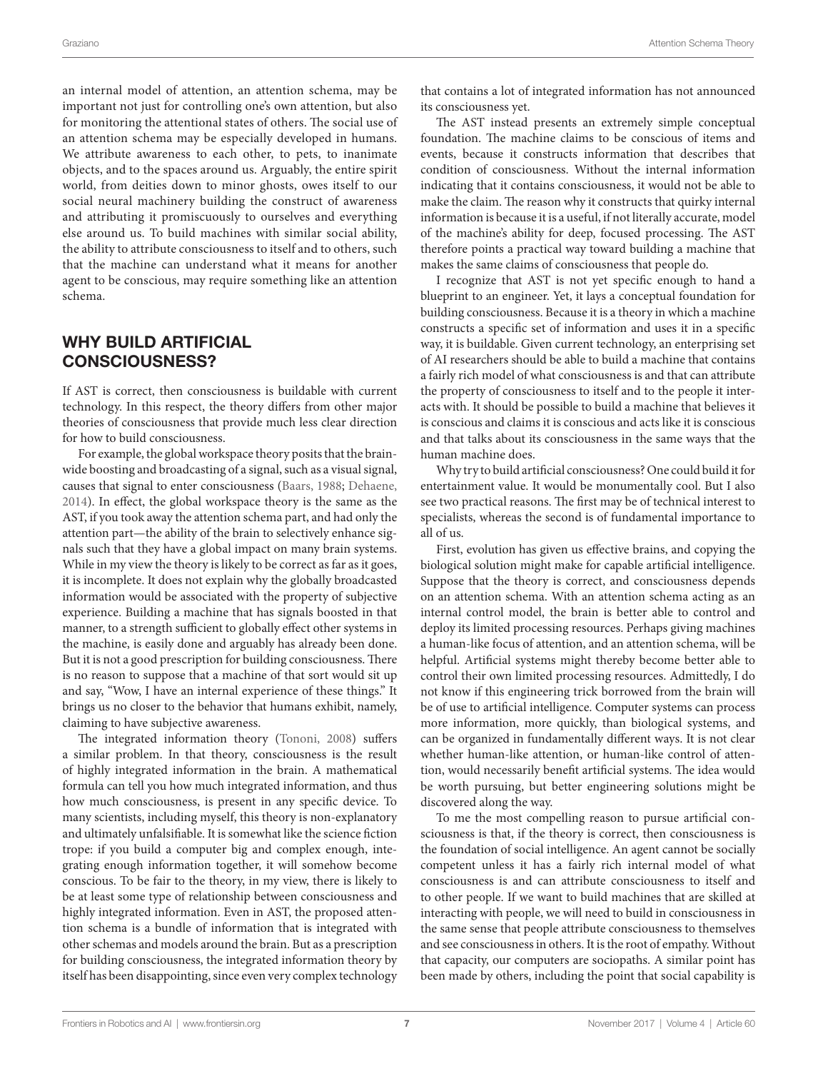an internal model of attention, an attention schema, may be important not just for controlling one's own attention, but also for monitoring the attentional states of others. The social use of an attention schema may be especially developed in humans. We attribute awareness to each other, to pets, to inanimate objects, and to the spaces around us. Arguably, the entire spirit world, from deities down to minor ghosts, owes itself to our social neural machinery building the construct of awareness and attributing it promiscuously to ourselves and everything else around us. To build machines with similar social ability, the ability to attribute consciousness to itself and to others, such that the machine can understand what it means for another agent to be conscious, may require something like an attention schema.

# WHY BUILD ARTIFICIAL CONSCIOUSNESS?

If AST is correct, then consciousness is buildable with current technology. In this respect, the theory differs from other major theories of consciousness that provide much less clear direction for how to build consciousness.

For example, the global workspace theory posits that the brainwide boosting and broadcasting of a signal, such as a visual signal, causes that signal to enter consciousness [\(Baars, 1988;](#page-7-37) [Dehaene,](#page-7-38) [2014\)](#page-7-38). In effect, the global workspace theory is the same as the AST, if you took away the attention schema part, and had only the attention part—the ability of the brain to selectively enhance signals such that they have a global impact on many brain systems. While in my view the theory is likely to be correct as far as it goes, it is incomplete. It does not explain why the globally broadcasted information would be associated with the property of subjective experience. Building a machine that has signals boosted in that manner, to a strength sufficient to globally effect other systems in the machine, is easily done and arguably has already been done. But it is not a good prescription for building consciousness. There is no reason to suppose that a machine of that sort would sit up and say, "Wow, I have an internal experience of these things." It brings us no closer to the behavior that humans exhibit, namely, claiming to have subjective awareness.

The integrated information theory ([Tononi, 2008](#page-8-14)) suffers a similar problem. In that theory, consciousness is the result of highly integrated information in the brain. A mathematical formula can tell you how much integrated information, and thus how much consciousness, is present in any specific device. To many scientists, including myself, this theory is non-explanatory and ultimately unfalsifiable. It is somewhat like the science fiction trope: if you build a computer big and complex enough, integrating enough information together, it will somehow become conscious. To be fair to the theory, in my view, there is likely to be at least some type of relationship between consciousness and highly integrated information. Even in AST, the proposed attention schema is a bundle of information that is integrated with other schemas and models around the brain. But as a prescription for building consciousness, the integrated information theory by itself has been disappointing, since even very complex technology

that contains a lot of integrated information has not announced its consciousness yet.

The AST instead presents an extremely simple conceptual foundation. The machine claims to be conscious of items and events, because it constructs information that describes that condition of consciousness. Without the internal information indicating that it contains consciousness, it would not be able to make the claim. The reason why it constructs that quirky internal information is because it is a useful, if not literally accurate, model of the machine's ability for deep, focused processing. The AST therefore points a practical way toward building a machine that makes the same claims of consciousness that people do.

I recognize that AST is not yet specific enough to hand a blueprint to an engineer. Yet, it lays a conceptual foundation for building consciousness. Because it is a theory in which a machine constructs a specific set of information and uses it in a specific way, it is buildable. Given current technology, an enterprising set of AI researchers should be able to build a machine that contains a fairly rich model of what consciousness is and that can attribute the property of consciousness to itself and to the people it interacts with. It should be possible to build a machine that believes it is conscious and claims it is conscious and acts like it is conscious and that talks about its consciousness in the same ways that the human machine does.

Why try to build artificial consciousness? One could build it for entertainment value. It would be monumentally cool. But I also see two practical reasons. The first may be of technical interest to specialists, whereas the second is of fundamental importance to all of us.

First, evolution has given us effective brains, and copying the biological solution might make for capable artificial intelligence. Suppose that the theory is correct, and consciousness depends on an attention schema. With an attention schema acting as an internal control model, the brain is better able to control and deploy its limited processing resources. Perhaps giving machines a human-like focus of attention, and an attention schema, will be helpful. Artificial systems might thereby become better able to control their own limited processing resources. Admittedly, I do not know if this engineering trick borrowed from the brain will be of use to artificial intelligence. Computer systems can process more information, more quickly, than biological systems, and can be organized in fundamentally different ways. It is not clear whether human-like attention, or human-like control of attention, would necessarily benefit artificial systems. The idea would be worth pursuing, but better engineering solutions might be discovered along the way.

To me the most compelling reason to pursue artificial consciousness is that, if the theory is correct, then consciousness is the foundation of social intelligence. An agent cannot be socially competent unless it has a fairly rich internal model of what consciousness is and can attribute consciousness to itself and to other people. If we want to build machines that are skilled at interacting with people, we will need to build in consciousness in the same sense that people attribute consciousness to themselves and see consciousness in others. It is the root of empathy. Without that capacity, our computers are sociopaths. A similar point has been made by others, including the point that social capability is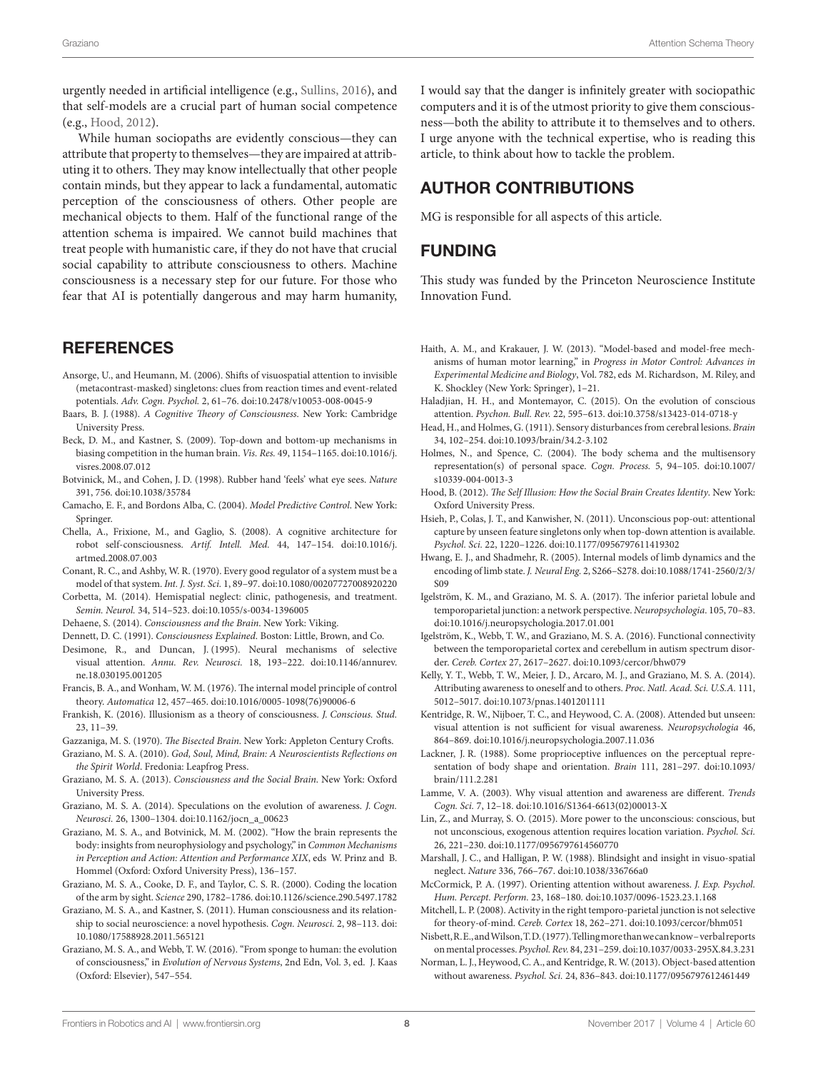urgently needed in artificial intelligence (e.g., [Sullins, 2016](#page-8-15)), and that self-models are a crucial part of human social competence (e.g., [Hood, 2012](#page-7-39)).

While human sociopaths are evidently conscious—they can attribute that property to themselves—they are impaired at attributing it to others. They may know intellectually that other people contain minds, but they appear to lack a fundamental, automatic perception of the consciousness of others. Other people are mechanical objects to them. Half of the functional range of the attention schema is impaired. We cannot build machines that treat people with humanistic care, if they do not have that crucial social capability to attribute consciousness to others. Machine consciousness is a necessary step for our future. For those who fear that AI is potentially dangerous and may harm humanity,

## **REFERENCES**

- <span id="page-7-24"></span>Ansorge, U., and Heumann, M. (2006). Shifts of visuospatial attention to invisible (metacontrast-masked) singletons: clues from reaction times and event-related potentials. *Adv. Cogn. Psychol.* 2, 61–76. doi[:10.2478/v10053-008-0045-9](https://doi.org/10.2478/v10053-008-0045-9)
- <span id="page-7-37"></span>Baars, B. J. (1988). *A Cognitive Theory of Consciousness*. New York: Cambridge University Press.
- <span id="page-7-10"></span>Beck, D. M., and Kastner, S. (2009). Top-down and bottom-up mechanisms in biasing competition in the human brain. *Vis. Res.* 49, 1154–1165. doi:[10.1016/j.](https://doi.org/10.1016/j.visres.2008.07.012) [visres.2008.07.012](https://doi.org/10.1016/j.visres.2008.07.012)
- <span id="page-7-7"></span>Botvinick, M., and Cohen, J. D. (1998). Rubber hand 'feels' what eye sees. *Nature* 391, 756. doi[:10.1038/35784](https://doi.org/10.1038/35784)
- <span id="page-7-18"></span>Camacho, E. F., and Bordons Alba, C. (2004). *Model Predictive Control*. New York: Springer.
- <span id="page-7-15"></span>Chella, A., Frixione, M., and Gaglio, S. (2008). A cognitive architecture for robot self-consciousness. *Artif. Intell. Med.* 44, 147–154. doi:[10.1016/j.](https://doi.org/10.1016/j.artmed.2008.07.003) [artmed.2008.07.003](https://doi.org/10.1016/j.artmed.2008.07.003)
- <span id="page-7-16"></span>Conant, R. C., and Ashby, W. R. (1970). Every good regulator of a system must be a model of that system. *Int. J. Syst. Sci.* 1, 89–97. doi[:10.1080/00207727008920220](https://doi.org/10.1080/00207727008920220)
- <span id="page-7-31"></span>Corbetta, M. (2014). Hemispatial neglect: clinic, pathogenesis, and treatment. *Semin. Neurol.* 34, 514–523. doi[:10.1055/s-0034-1396005](https://doi.org/10.1055/s-0034-1396005)
- <span id="page-7-38"></span>Dehaene, S. (2014). *Consciousness and the Brain*. New York: Viking.
- <span id="page-7-11"></span>Dennett, D. C. (1991). *Consciousness Explained*. Boston: Little, Brown, and Co.
- <span id="page-7-9"></span>Desimone, R., and Duncan, J. (1995). Neural mechanisms of selective visual attention. *Annu. Rev. Neurosci.* 18, 193–222. doi:[10.1146/annurev.](https://doi.org/10.1146/annurev.ne.18.030195.001205) [ne.18.030195.001205](https://doi.org/10.1146/annurev.ne.18.030195.001205)
- <span id="page-7-17"></span>Francis, B. A., and Wonham, W. M. (1976). The internal model principle of control theory. *Automatica* 12, 457–465. doi:[10.1016/0005-1098\(76\)90006-6](https://doi.org/10.1016/0005-1098(76)90006-6)
- <span id="page-7-12"></span>Frankish, K. (2016). Illusionism as a theory of consciousness. *J. Conscious. Stud.* 23, 11–39.
- <span id="page-7-13"></span>Gazzaniga, M. S. (1970). *The Bisected Brain*. New York: Appleton Century Crofts.
- <span id="page-7-2"></span>Graziano, M. S. A. (2010). *God, Soul, Mind, Brain: A Neuroscientists Reflections on the Spirit World*. Fredonia: Leapfrog Press.
- <span id="page-7-1"></span>Graziano, M. S. A. (2013). *Consciousness and the Social Brain*. New York: Oxford University Press.
- <span id="page-7-28"></span>Graziano, M. S. A. (2014). Speculations on the evolution of awareness. *J. Cogn. Neurosci.* 26, 1300–1304. doi[:10.1162/jocn\\_a\\_00623](https://doi.org/10.1162/jocn_a_00623)
- <span id="page-7-5"></span>Graziano, M. S. A., and Botvinick, M. M. (2002). "How the brain represents the body: insights from neurophysiology and psychology," in *Common Mechanisms in Perception and Action: Attention and Performance XIX*, eds W. Prinz and B. Hommel (Oxford: Oxford University Press), 136–157.
- <span id="page-7-4"></span>Graziano, M. S. A., Cooke, D. F., and Taylor, C. S. R. (2000). Coding the location of the arm by sight. *Science* 290, 1782–1786. doi[:10.1126/science.290.5497.1782](https://doi.org/10.1126/science.290.5497.1782)
- <span id="page-7-0"></span>Graziano, M. S. A., and Kastner, S. (2011). Human consciousness and its relationship to social neuroscience: a novel hypothesis. *Cogn. Neurosci.* 2, 98–113. doi: [10.1080/17588928.2011.565121](https://doi.org/10.1080/17588928.2011.565121)
- <span id="page-7-30"></span>Graziano, M. S. A., and Webb, T. W. (2016). "From sponge to human: the evolution of consciousness," in *Evolution of Nervous Systems*, 2nd Edn, Vol. 3, ed. J. Kaas (Oxford: Elsevier), 547–554.

I would say that the danger is infinitely greater with sociopathic computers and it is of the utmost priority to give them consciousness—both the ability to attribute it to themselves and to others. I urge anyone with the technical expertise, who is reading this article, to think about how to tackle the problem.

## AUTHOR CONTRIBUTIONS

MG is responsible for all aspects of this article.

### FUNDING

This study was funded by the Princeton Neuroscience Institute Innovation Fund.

- <span id="page-7-19"></span>Haith, A. M., and Krakauer, J. W. (2013). "Model-based and model-free mechanisms of human motor learning," in *Progress in Motor Control: Advances in Experimental Medicine and Biology*, Vol. 782, eds M. Richardson, M. Riley, and K. Shockley (New York: Springer), 1–21.
- <span id="page-7-29"></span>Haladjian, H. H., and Montemayor, C. (2015). On the evolution of conscious attention. *Psychon. Bull. Rev.* 22, 595–613. doi:[10.3758/s13423-014-0718-y](https://doi.org/10.3758/s13423-014-0718-y)
- <span id="page-7-3"></span>Head, H., and Holmes, G. (1911). Sensory disturbances from cerebral lesions. *Brain* 34, 102–254. doi:[10.1093/brain/34.2-3.102](https://doi.org/10.1093/brain/34.2-3.102)
- <span id="page-7-6"></span>Holmes, N., and Spence, C. (2004). The body schema and the multisensory representation(s) of personal space. *Cogn. Process.* 5, 94–105. doi[:10.1007/](https://doi.org/10.1007/s10339-004-0013-3) [s10339-004-0013-3](https://doi.org/10.1007/s10339-004-0013-3)
- <span id="page-7-39"></span>Hood, B. (2012). *The Self Illusion: How the Social Brain Creates Identity*. New York: Oxford University Press.
- <span id="page-7-26"></span>Hsieh, P., Colas, J. T., and Kanwisher, N. (2011). Unconscious pop-out: attentional capture by unseen feature singletons only when top-down attention is available. *Psychol. Sci.* 22, 1220–1226. doi[:10.1177/0956797611419302](https://doi.org/10.1177/0956797611419302)
- <span id="page-7-20"></span>Hwang, E. J., and Shadmehr, R. (2005). Internal models of limb dynamics and the encoding of limb state. *J. Neural Eng.* 2, S266–S278. doi[:10.1088/1741-2560/2/3/](https://doi.org/10.1088/1741-2560/2/3/S09) [S09](https://doi.org/10.1088/1741-2560/2/3/S09)
- <span id="page-7-33"></span>Igelström, K. M., and Graziano, M. S. A. (2017). The inferior parietal lobule and temporoparietal junction: a network perspective. *Neuropsychologia*. 105, 70–83. doi[:10.1016/j.neuropsychologia.2017.01.001](https://doi.org/10.1016/j.neuropsychologia.2017.01.001)
- <span id="page-7-35"></span>Igelström, K., Webb, T. W., and Graziano, M. S. A. (2016). Functional connectivity between the temporoparietal cortex and cerebellum in autism spectrum disorder. *Cereb. Cortex* 27, 2617–2627. doi:[10.1093/cercor/bhw079](https://doi.org/10.1093/cercor/bhw079)
- <span id="page-7-34"></span>Kelly, Y. T., Webb, T. W., Meier, J. D., Arcaro, M. J., and Graziano, M. S. A. (2014). Attributing awareness to oneself and to others. *Proc. Natl. Acad. Sci. U.S.A.* 111, 5012–5017. doi:[10.1073/pnas.1401201111](https://doi.org/10.1073/pnas.1401201111)
- <span id="page-7-25"></span>Kentridge, R. W., Nijboer, T. C., and Heywood, C. A. (2008). Attended but unseen: visual attention is not sufficient for visual awareness. *Neuropsychologia* 46, 864–869. doi[:10.1016/j.neuropsychologia.2007.11.036](https://doi.org/10.1016/j.neuropsychologia.2007.11.036)
- <span id="page-7-8"></span>Lackner, J. R. (1988). Some proprioceptive influences on the perceptual representation of body shape and orientation. *Brain* 111, 281–297. doi[:10.1093/](https://doi.org/10.1093/brain/111.2.281) [brain/111.2.281](https://doi.org/10.1093/brain/111.2.281)
- <span id="page-7-23"></span>Lamme, V. A. (2003). Why visual attention and awareness are different. *Trends Cogn. Sci.* 7, 12–18. doi[:10.1016/S1364-6613\(02\)00013-X](https://doi.org/10.1016/S1364-6613(02)00013-X)
- <span id="page-7-22"></span>Lin, Z., and Murray, S. O. (2015). More power to the unconscious: conscious, but not unconscious, exogenous attention requires location variation. *Psychol. Sci.* 26, 221–230. doi:[10.1177/0956797614560770](https://doi.org/10.1177/0956797614560770)
- <span id="page-7-32"></span>Marshall, J. C., and Halligan, P. W. (1988). Blindsight and insight in visuo-spatial neglect. *Nature* 336, 766–767. doi[:10.1038/336766a0](https://doi.org/10.1038/336766a0)
- <span id="page-7-21"></span>McCormick, P. A. (1997). Orienting attention without awareness. *J. Exp. Psychol. Hum. Percept. Perform.* 23, 168–180. doi:[10.1037/0096-1523.23.1.168](https://doi.org/10.1037/0096-1523.23.1.168)
- <span id="page-7-36"></span>Mitchell, L. P. (2008). Activity in the right temporo-parietal junction is not selective for theory-of-mind. *Cereb. Cortex* 18, 262–271. doi:[10.1093/cercor/bhm051](https://doi.org/10.1093/cercor/bhm051)
- <span id="page-7-14"></span>Nisbett, R. E., and Wilson, T. D. (1977). Telling more than we can know – verbal reports on mental processes. *Psychol. Rev.* 84, 231–259. doi:[10.1037/0033-295X.84.3.231](https://doi.org/10.1037/0033-295X.84.3.231)
- <span id="page-7-27"></span>Norman, L. J., Heywood, C. A., and Kentridge, R. W. (2013). Object-based attention without awareness. *Psychol. Sci.* 24, 836–843. doi:[10.1177/0956797612461449](https://doi.org/10.1177/0956797612461449)